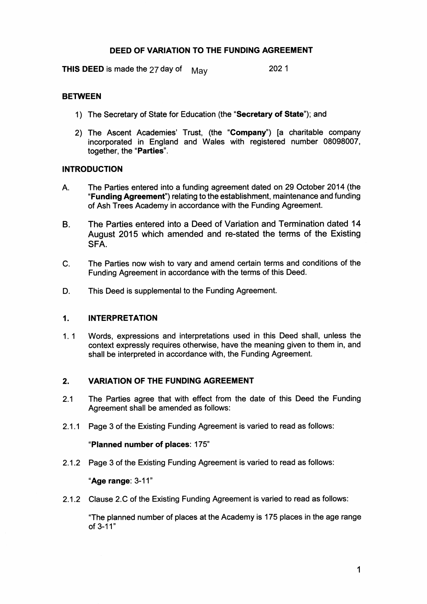# **DEED OF VARIATION TO THE FUNDING AGREEMENT**

2021 THIS DEED is made the 27 day of May

## **BETWEEN**

- 1) The Secretary of State for Education (the "Secretary of State"); and
- 2) The Ascent Academies' Trust, (the "Company") [a charitable company incorporated in England and Wales with registered number 08098007, together, the "Parties".

# **INTRODUCTION**

- The Parties entered into a funding agreement dated on 29 October 2014 (the A. "Funding Agreement") relating to the establishment, maintenance and funding of Ash Trees Academy in accordance with the Funding Agreement.
- **B.** The Parties entered into a Deed of Variation and Termination dated 14 August 2015 which amended and re-stated the terms of the Existing SFA.
- The Parties now wish to vary and amend certain terms and conditions of the  $C_{\cdot}$ Funding Agreement in accordance with the terms of this Deed.
- This Deed is supplemental to the Funding Agreement. D.

### $1.$ **INTERPRETATION**

Words, expressions and interpretations used in this Deed shall, unless the  $1.1$ context expressly requires otherwise, have the meaning given to them in, and shall be interpreted in accordance with, the Funding Agreement.

#### **VARIATION OF THE FUNDING AGREEMENT**  $2.$

- $2.1$ The Parties agree that with effect from the date of this Deed the Funding Agreement shall be amended as follows:
- 2.1.1 Page 3 of the Existing Funding Agreement is varied to read as follows:

### "Planned number of places: 175"

2.1.2 Page 3 of the Existing Funding Agreement is varied to read as follows:

### "Age range: 3-11"

2.1.2 Clause 2.C of the Existing Funding Agreement is varied to read as follows:

"The planned number of places at the Academy is 175 places in the age range of  $3-11$ "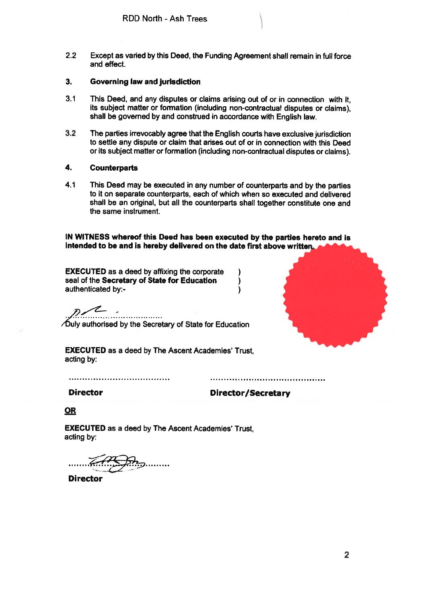2.2 Except as varied by this Deed, the Funding Agreement shall remain in full force and effect.

### 3. Governing law and jurisdiction

- 3.1 This Deed, and any disputes or claims arising out of or in connection with it, its subject matter or formation (including non-contractual disputes or claims). shall be governed by and construed in accordance with English law.
- 3.2 The parties irrevocably agree that the English courts have exclusive jurisdiction to settle any dispute or claim that arises out of or in connection with this Deed or its subject matter or formation (including non-contractual disputes or claims).

# 4. Counterparts

4.1 This Deed may be executed in any number of counterparts and by the parties to it on separate counterparts, each of which when so executed and delivered shall be an original, but all the counterparts shall together constitute one and the same instrument.

IN WITNESS whereof this Deed has been executed by the parties hereto and is intended to be and is hereby delivered on the date first above written.

> $\lambda$  $\lambda$ 1

EXECUTED as <sup>a</sup> deed by affixing the corporate seal of the Secretary of State for Education authenticated by:

 $\mathcal{Z}$ 

/óuly authorised by the Secretary of State for Education

**EXECUTED** as a deed by The Ascent Academies' Trust, acting by:

Director Director/Secretary

**OR** 

EXECUTED as <sup>a</sup> deed by The Ascent Academies' Trust, acting by:

Director